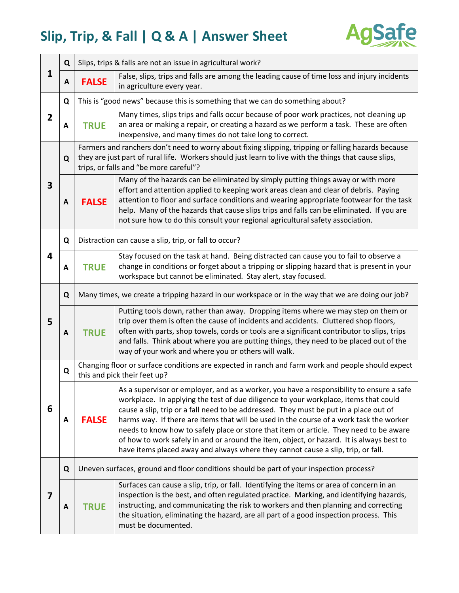

| $\mathbf{1}$ | Q           | Slips, trips & falls are not an issue in agricultural work?                                                                                                                                                                                            |                                                                                                                                                                                                                                                                                                                                                                                                                                                                                                                                                                                                                                                |  |
|--------------|-------------|--------------------------------------------------------------------------------------------------------------------------------------------------------------------------------------------------------------------------------------------------------|------------------------------------------------------------------------------------------------------------------------------------------------------------------------------------------------------------------------------------------------------------------------------------------------------------------------------------------------------------------------------------------------------------------------------------------------------------------------------------------------------------------------------------------------------------------------------------------------------------------------------------------------|--|
|              | Α           | <b>FALSE</b>                                                                                                                                                                                                                                           | False, slips, trips and falls are among the leading cause of time loss and injury incidents<br>in agriculture every year.                                                                                                                                                                                                                                                                                                                                                                                                                                                                                                                      |  |
| 2            | Q           | This is "good news" because this is something that we can do something about?                                                                                                                                                                          |                                                                                                                                                                                                                                                                                                                                                                                                                                                                                                                                                                                                                                                |  |
|              | A           | <b>TRUE</b>                                                                                                                                                                                                                                            | Many times, slips trips and falls occur because of poor work practices, not cleaning up<br>an area or making a repair, or creating a hazard as we perform a task. These are often<br>inexpensive, and many times do not take long to correct.                                                                                                                                                                                                                                                                                                                                                                                                  |  |
| 3            | $\mathbf Q$ | Farmers and ranchers don't need to worry about fixing slipping, tripping or falling hazards because<br>they are just part of rural life. Workers should just learn to live with the things that cause slips,<br>trips, or falls and "be more careful"? |                                                                                                                                                                                                                                                                                                                                                                                                                                                                                                                                                                                                                                                |  |
|              | A           | <b>FALSE</b>                                                                                                                                                                                                                                           | Many of the hazards can be eliminated by simply putting things away or with more<br>effort and attention applied to keeping work areas clean and clear of debris. Paying<br>attention to floor and surface conditions and wearing appropriate footwear for the task<br>help. Many of the hazards that cause slips trips and falls can be eliminated. If you are<br>not sure how to do this consult your regional agricultural safety association.                                                                                                                                                                                              |  |
| 4            | Q           | Distraction can cause a slip, trip, or fall to occur?                                                                                                                                                                                                  |                                                                                                                                                                                                                                                                                                                                                                                                                                                                                                                                                                                                                                                |  |
|              | A           | <b>TRUE</b>                                                                                                                                                                                                                                            | Stay focused on the task at hand. Being distracted can cause you to fail to observe a<br>change in conditions or forget about a tripping or slipping hazard that is present in your<br>workspace but cannot be eliminated. Stay alert, stay focused.                                                                                                                                                                                                                                                                                                                                                                                           |  |
| 5            | Q           | Many times, we create a tripping hazard in our workspace or in the way that we are doing our job?                                                                                                                                                      |                                                                                                                                                                                                                                                                                                                                                                                                                                                                                                                                                                                                                                                |  |
|              | A           | <b>TRUE</b>                                                                                                                                                                                                                                            | Putting tools down, rather than away. Dropping items where we may step on them or<br>trip over them is often the cause of incidents and accidents. Cluttered shop floors,<br>often with parts, shop towels, cords or tools are a significant contributor to slips, trips<br>and falls. Think about where you are putting things, they need to be placed out of the<br>way of your work and where you or others will walk.                                                                                                                                                                                                                      |  |
| 6            | Q           | Changing floor or surface conditions are expected in ranch and farm work and people should expect<br>this and pick their feet up?                                                                                                                      |                                                                                                                                                                                                                                                                                                                                                                                                                                                                                                                                                                                                                                                |  |
|              | A           | <b>FALSE</b>                                                                                                                                                                                                                                           | As a supervisor or employer, and as a worker, you have a responsibility to ensure a safe<br>workplace. In applying the test of due diligence to your workplace, items that could<br>cause a slip, trip or a fall need to be addressed. They must be put in a place out of<br>harms way. If there are items that will be used in the course of a work task the worker<br>needs to know how to safely place or store that item or article. They need to be aware<br>of how to work safely in and or around the item, object, or hazard. It is always best to<br>have items placed away and always where they cannot cause a slip, trip, or fall. |  |
| 7            | Q           | Uneven surfaces, ground and floor conditions should be part of your inspection process?                                                                                                                                                                |                                                                                                                                                                                                                                                                                                                                                                                                                                                                                                                                                                                                                                                |  |
|              | A           | <b>TRUE</b>                                                                                                                                                                                                                                            | Surfaces can cause a slip, trip, or fall. Identifying the items or area of concern in an<br>inspection is the best, and often regulated practice. Marking, and identifying hazards,<br>instructing, and communicating the risk to workers and then planning and correcting<br>the situation, eliminating the hazard, are all part of a good inspection process. This<br>must be documented.                                                                                                                                                                                                                                                    |  |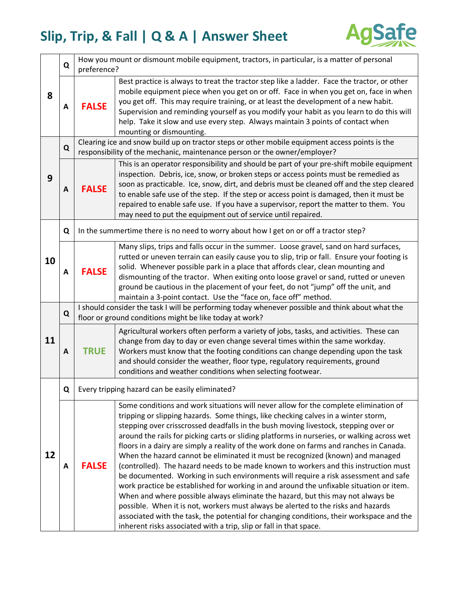

| 8  | Q           | How you mount or dismount mobile equipment, tractors, in particular, is a matter of personal                                                                                |                                                                                                                                                                                                                                                                                                                                                                                                                                                                                                                                                                                                                                                                                                                                                                                                                                                                                                                                                                                                                                                                                                                                                                   |  |
|----|-------------|-----------------------------------------------------------------------------------------------------------------------------------------------------------------------------|-------------------------------------------------------------------------------------------------------------------------------------------------------------------------------------------------------------------------------------------------------------------------------------------------------------------------------------------------------------------------------------------------------------------------------------------------------------------------------------------------------------------------------------------------------------------------------------------------------------------------------------------------------------------------------------------------------------------------------------------------------------------------------------------------------------------------------------------------------------------------------------------------------------------------------------------------------------------------------------------------------------------------------------------------------------------------------------------------------------------------------------------------------------------|--|
|    |             | preference?                                                                                                                                                                 |                                                                                                                                                                                                                                                                                                                                                                                                                                                                                                                                                                                                                                                                                                                                                                                                                                                                                                                                                                                                                                                                                                                                                                   |  |
|    | A           | <b>FALSE</b>                                                                                                                                                                | Best practice is always to treat the tractor step like a ladder. Face the tractor, or other<br>mobile equipment piece when you get on or off. Face in when you get on, face in when<br>you get off. This may require training, or at least the development of a new habit.<br>Supervision and reminding yourself as you modify your habit as you learn to do this will<br>help. Take it slow and use every step. Always maintain 3 points of contact when<br>mounting or dismounting.                                                                                                                                                                                                                                                                                                                                                                                                                                                                                                                                                                                                                                                                             |  |
| 9  | $\mathbf Q$ | Clearing ice and snow build up on tractor steps or other mobile equipment access points is the<br>responsibility of the mechanic, maintenance person or the owner/employer? |                                                                                                                                                                                                                                                                                                                                                                                                                                                                                                                                                                                                                                                                                                                                                                                                                                                                                                                                                                                                                                                                                                                                                                   |  |
|    | A           | <b>FALSE</b>                                                                                                                                                                | This is an operator responsibility and should be part of your pre-shift mobile equipment<br>inspection. Debris, ice, snow, or broken steps or access points must be remedied as<br>soon as practicable. Ice, snow, dirt, and debris must be cleaned off and the step cleared<br>to enable safe use of the step. If the step or access point is damaged, then it must be<br>repaired to enable safe use. If you have a supervisor, report the matter to them. You<br>may need to put the equipment out of service until repaired.                                                                                                                                                                                                                                                                                                                                                                                                                                                                                                                                                                                                                                  |  |
| 10 | Q           |                                                                                                                                                                             | In the summertime there is no need to worry about how I get on or off a tractor step?                                                                                                                                                                                                                                                                                                                                                                                                                                                                                                                                                                                                                                                                                                                                                                                                                                                                                                                                                                                                                                                                             |  |
|    | A           | <b>FALSE</b>                                                                                                                                                                | Many slips, trips and falls occur in the summer. Loose gravel, sand on hard surfaces,<br>rutted or uneven terrain can easily cause you to slip, trip or fall. Ensure your footing is<br>solid. Whenever possible park in a place that affords clear, clean mounting and<br>dismounting of the tractor. When exiting onto loose gravel or sand, rutted or uneven<br>ground be cautious in the placement of your feet, do not "jump" off the unit, and<br>maintain a 3-point contact. Use the "face on, face off" method.                                                                                                                                                                                                                                                                                                                                                                                                                                                                                                                                                                                                                                           |  |
| 11 | Q           | I should consider the task I will be performing today whenever possible and think about what the<br>floor or ground conditions might be like today at work?                 |                                                                                                                                                                                                                                                                                                                                                                                                                                                                                                                                                                                                                                                                                                                                                                                                                                                                                                                                                                                                                                                                                                                                                                   |  |
|    | A           | <b>TRUE</b>                                                                                                                                                                 | Agricultural workers often perform a variety of jobs, tasks, and activities. These can<br>change from day to day or even change several times within the same workday.<br>Workers must know that the footing conditions can change depending upon the task<br>and should consider the weather, floor type, regulatory requirements, ground<br>conditions and weather conditions when selecting footwear.                                                                                                                                                                                                                                                                                                                                                                                                                                                                                                                                                                                                                                                                                                                                                          |  |
|    | Q           |                                                                                                                                                                             | Every tripping hazard can be easily eliminated?                                                                                                                                                                                                                                                                                                                                                                                                                                                                                                                                                                                                                                                                                                                                                                                                                                                                                                                                                                                                                                                                                                                   |  |
| 12 | A           | <b>FALSE</b>                                                                                                                                                                | Some conditions and work situations will never allow for the complete elimination of<br>tripping or slipping hazards. Some things, like checking calves in a winter storm,<br>stepping over crisscrossed deadfalls in the bush moving livestock, stepping over or<br>around the rails for picking carts or sliding platforms in nurseries, or walking across wet<br>floors in a dairy are simply a reality of the work done on farms and ranches in Canada.<br>When the hazard cannot be eliminated it must be recognized (known) and managed<br>(controlled). The hazard needs to be made known to workers and this instruction must<br>be documented. Working in such environments will require a risk assessment and safe<br>work practice be established for working in and around the unfixable situation or item.<br>When and where possible always eliminate the hazard, but this may not always be<br>possible. When it is not, workers must always be alerted to the risks and hazards<br>associated with the task, the potential for changing conditions, their workspace and the<br>inherent risks associated with a trip, slip or fall in that space. |  |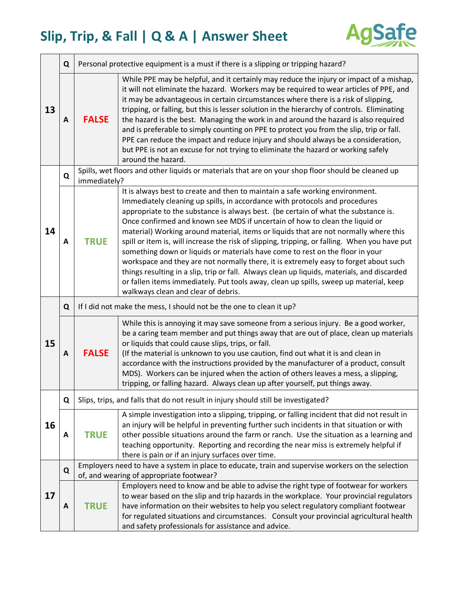

| 13 | Q |                                                                                                                                               | Personal protective equipment is a must if there is a slipping or tripping hazard?                                                                                                                                                                                                                                                                                                                                                                                                                                                                                                                                                                                                                                                                                                                                                                                                                                                |  |
|----|---|-----------------------------------------------------------------------------------------------------------------------------------------------|-----------------------------------------------------------------------------------------------------------------------------------------------------------------------------------------------------------------------------------------------------------------------------------------------------------------------------------------------------------------------------------------------------------------------------------------------------------------------------------------------------------------------------------------------------------------------------------------------------------------------------------------------------------------------------------------------------------------------------------------------------------------------------------------------------------------------------------------------------------------------------------------------------------------------------------|--|
|    | A | <b>FALSE</b>                                                                                                                                  | While PPE may be helpful, and it certainly may reduce the injury or impact of a mishap,<br>it will not eliminate the hazard. Workers may be required to wear articles of PPE, and<br>it may be advantageous in certain circumstances where there is a risk of slipping,<br>tripping, or falling, but this is lesser solution in the hierarchy of controls. Eliminating<br>the hazard is the best. Managing the work in and around the hazard is also required<br>and is preferable to simply counting on PPE to protect you from the slip, trip or fall.<br>PPE can reduce the impact and reduce injury and should always be a consideration,<br>but PPE is not an excuse for not trying to eliminate the hazard or working safely<br>around the hazard.                                                                                                                                                                          |  |
|    | Q | Spills, wet floors and other liquids or materials that are on your shop floor should be cleaned up<br>immediately?                            |                                                                                                                                                                                                                                                                                                                                                                                                                                                                                                                                                                                                                                                                                                                                                                                                                                                                                                                                   |  |
| 14 | A | <b>TRUE</b>                                                                                                                                   | It is always best to create and then to maintain a safe working environment.<br>Immediately cleaning up spills, in accordance with protocols and procedures<br>appropriate to the substance is always best. (be certain of what the substance is.<br>Once confirmed and known see MDS if uncertain of how to clean the liquid or<br>material) Working around material, items or liquids that are not normally where this<br>spill or item is, will increase the risk of slipping, tripping, or falling. When you have put<br>something down or liquids or materials have come to rest on the floor in your<br>workspace and they are not normally there, it is extremely easy to forget about such<br>things resulting in a slip, trip or fall. Always clean up liquids, materials, and discarded<br>or fallen items immediately. Put tools away, clean up spills, sweep up material, keep<br>walkways clean and clear of debris. |  |
| 15 | Q | If I did not make the mess, I should not be the one to clean it up?                                                                           |                                                                                                                                                                                                                                                                                                                                                                                                                                                                                                                                                                                                                                                                                                                                                                                                                                                                                                                                   |  |
|    | A | <b>FALSE</b>                                                                                                                                  | While this is annoying it may save someone from a serious injury. Be a good worker,<br>be a caring team member and put things away that are out of place, clean up materials<br>or liquids that could cause slips, trips, or fall.<br>(If the material is unknown to you use caution, find out what it is and clean in<br>accordance with the instructions provided by the manufacturer of a product, consult<br>MDS). Workers can be injured when the action of others leaves a mess, a slipping,<br>tripping, or falling hazard. Always clean up after yourself, put things away.                                                                                                                                                                                                                                                                                                                                               |  |
|    | Q |                                                                                                                                               | Slips, trips, and falls that do not result in injury should still be investigated?                                                                                                                                                                                                                                                                                                                                                                                                                                                                                                                                                                                                                                                                                                                                                                                                                                                |  |
| 16 | A | <b>TRUE</b>                                                                                                                                   | A simple investigation into a slipping, tripping, or falling incident that did not result in<br>an injury will be helpful in preventing further such incidents in that situation or with<br>other possible situations around the farm or ranch. Use the situation as a learning and<br>teaching opportunity. Reporting and recording the near miss is extremely helpful if<br>there is pain or if an injury surfaces over time.                                                                                                                                                                                                                                                                                                                                                                                                                                                                                                   |  |
|    | Q | Employers need to have a system in place to educate, train and supervise workers on the selection<br>of, and wearing of appropriate footwear? |                                                                                                                                                                                                                                                                                                                                                                                                                                                                                                                                                                                                                                                                                                                                                                                                                                                                                                                                   |  |
| 17 | A | <b>TRUE</b>                                                                                                                                   | Employers need to know and be able to advise the right type of footwear for workers<br>to wear based on the slip and trip hazards in the workplace. Your provincial regulators<br>have information on their websites to help you select regulatory compliant footwear<br>for regulated situations and circumstances. Consult your provincial agricultural health<br>and safety professionals for assistance and advice.                                                                                                                                                                                                                                                                                                                                                                                                                                                                                                           |  |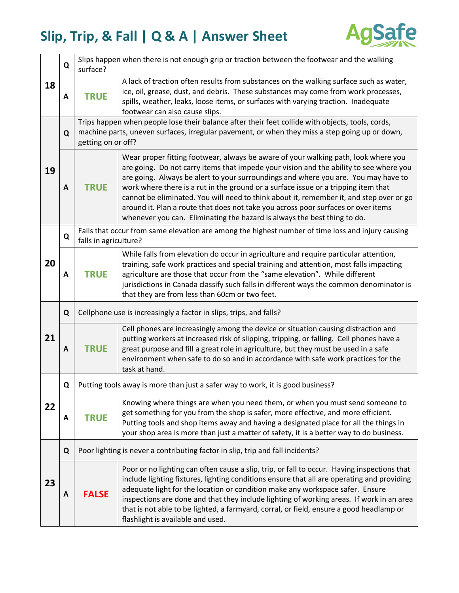

| 18 | Q | Slips happen when there is not enough grip or traction between the footwear and the walking<br>surface?                                                                                                                  |                                                                                                                                                                                                                                                                                                                                                                                                                                                                                                                                                                                                                      |  |
|----|---|--------------------------------------------------------------------------------------------------------------------------------------------------------------------------------------------------------------------------|----------------------------------------------------------------------------------------------------------------------------------------------------------------------------------------------------------------------------------------------------------------------------------------------------------------------------------------------------------------------------------------------------------------------------------------------------------------------------------------------------------------------------------------------------------------------------------------------------------------------|--|
|    | A | <b>TRUE</b>                                                                                                                                                                                                              | A lack of traction often results from substances on the walking surface such as water,<br>ice, oil, grease, dust, and debris. These substances may come from work processes,<br>spills, weather, leaks, loose items, or surfaces with varying traction. Inadequate<br>footwear can also cause slips.                                                                                                                                                                                                                                                                                                                 |  |
| 19 | Q | Trips happen when people lose their balance after their feet collide with objects, tools, cords,<br>machine parts, uneven surfaces, irregular pavement, or when they miss a step going up or down,<br>getting on or off? |                                                                                                                                                                                                                                                                                                                                                                                                                                                                                                                                                                                                                      |  |
|    | A | <b>TRUE</b>                                                                                                                                                                                                              | Wear proper fitting footwear, always be aware of your walking path, look where you<br>are going. Do not carry items that impede your vision and the ability to see where you<br>are going. Always be alert to your surroundings and where you are. You may have to<br>work where there is a rut in the ground or a surface issue or a tripping item that<br>cannot be eliminated. You will need to think about it, remember it, and step over or go<br>around it. Plan a route that does not take you across poor surfaces or over items<br>whenever you can. Eliminating the hazard is always the best thing to do. |  |
| 20 | Q | Falls that occur from same elevation are among the highest number of time loss and injury causing<br>falls in agriculture?                                                                                               |                                                                                                                                                                                                                                                                                                                                                                                                                                                                                                                                                                                                                      |  |
|    | A | <b>TRUE</b>                                                                                                                                                                                                              | While falls from elevation do occur in agriculture and require particular attention,<br>training, safe work practices and special training and attention, most falls impacting<br>agriculture are those that occur from the "same elevation". While different<br>jurisdictions in Canada classify such falls in different ways the common denominator is<br>that they are from less than 60cm or two feet.                                                                                                                                                                                                           |  |
|    | Q | Cellphone use is increasingly a factor in slips, trips, and falls?                                                                                                                                                       |                                                                                                                                                                                                                                                                                                                                                                                                                                                                                                                                                                                                                      |  |
| 21 | A | <b>TRUE</b>                                                                                                                                                                                                              | Cell phones are increasingly among the device or situation causing distraction and<br>putting workers at increased risk of slipping, tripping, or falling. Cell phones have a<br>great purpose and fill a great role in agriculture, but they must be used in a safe<br>environment when safe to do so and in accordance with safe work practices for the<br>task at hand.                                                                                                                                                                                                                                           |  |
| 22 | Q |                                                                                                                                                                                                                          | Putting tools away is more than just a safer way to work, it is good business?                                                                                                                                                                                                                                                                                                                                                                                                                                                                                                                                       |  |
|    | A | <b>TRUE</b>                                                                                                                                                                                                              | Knowing where things are when you need them, or when you must send someone to<br>get something for you from the shop is safer, more effective, and more efficient.<br>Putting tools and shop items away and having a designated place for all the things in<br>your shop area is more than just a matter of safety, it is a better way to do business.                                                                                                                                                                                                                                                               |  |
|    | Q | Poor lighting is never a contributing factor in slip, trip and fall incidents?                                                                                                                                           |                                                                                                                                                                                                                                                                                                                                                                                                                                                                                                                                                                                                                      |  |
| 23 | A | <b>FALSE</b>                                                                                                                                                                                                             | Poor or no lighting can often cause a slip, trip, or fall to occur. Having inspections that<br>include lighting fixtures, lighting conditions ensure that all are operating and providing<br>adequate light for the location or condition make any workspace safer. Ensure<br>inspections are done and that they include lighting of working areas. If work in an area<br>that is not able to be lighted, a farmyard, corral, or field, ensure a good headlamp or<br>flashlight is available and used.                                                                                                               |  |